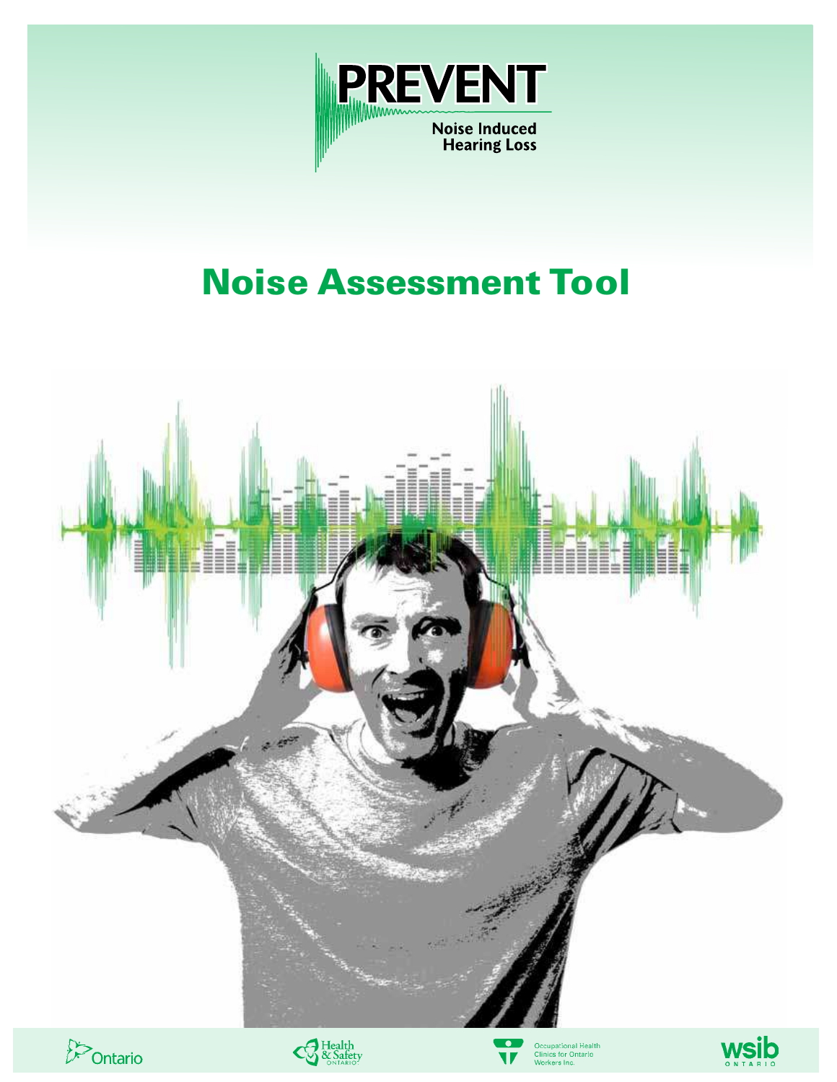

# Noise Assessment Tool

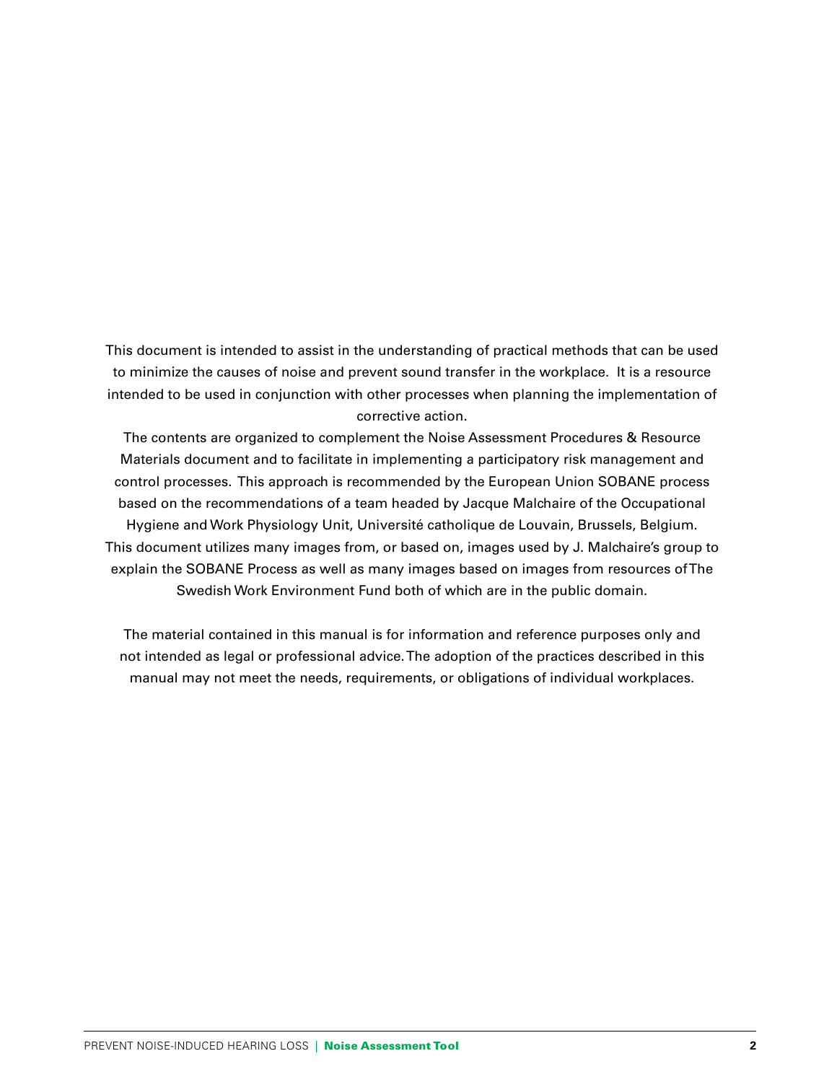This document is intended to assist in the understanding of practical methods that can be used to minimize the causes of noise and prevent sound transfer in the workplace. It is a resource intended to be used in conjunction with other processes when planning the implementation of corrective action.

The contents are organized to complement the Noise Assessment Procedures & Resource Materials document and to facilitate in implementing a participatory risk management and control processes. This approach is recommended by the European Union SOBANE process based on the recommendations of a team headed by Jacque Malchaire of the Occupational Hygiene and Work Physiology Unit, Université catholique de Louvain, Brussels, Belgium. This document utilizes many images from, or based on, images used by J. Malchaire's group to explain the SOBANE Process as well as many images based on images from resources of The Swedish Work Environment Fund both of which are in the public domain.

The material contained in this manual is for information and reference purposes only and not intended as legal or professional advice. The adoption of the practices described in this manual may not meet the needs, requirements, or obligations of individual workplaces.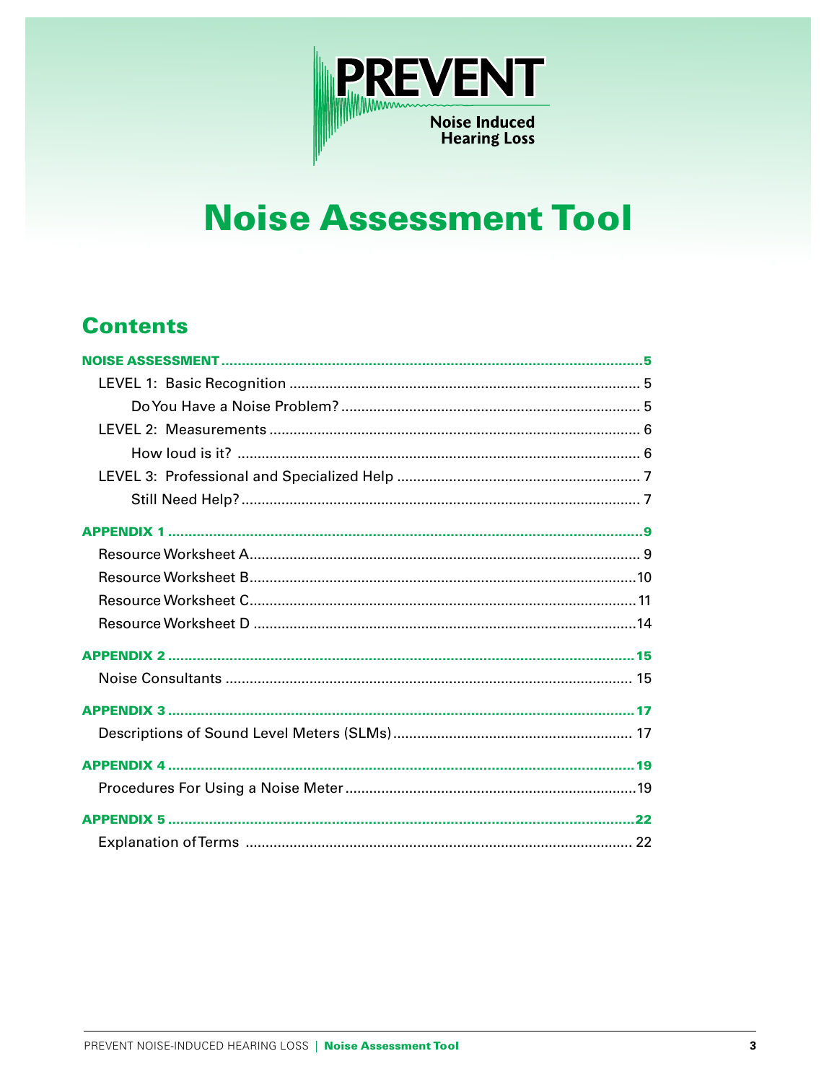

# **Noise Assessment Tool**

# **Contents**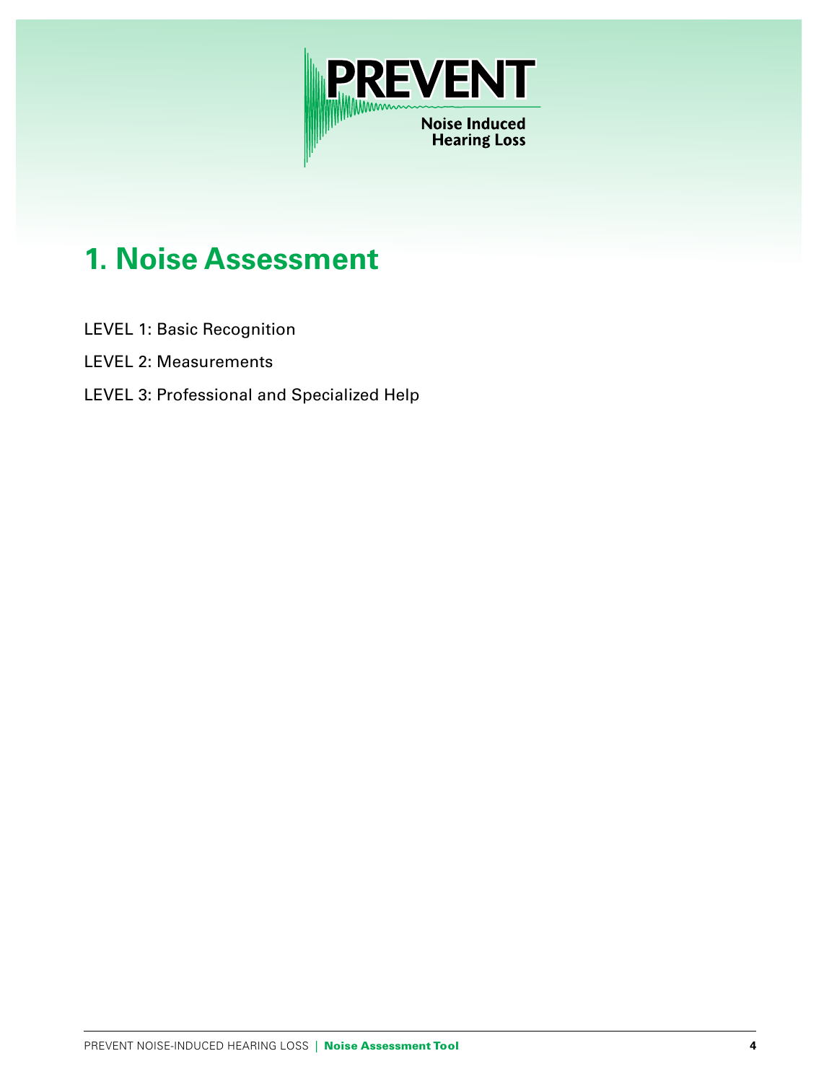

# **1. Noise Assessment**

- LEVEL 1: Basic Recognition
- LEVEL 2: Measurements
- LEVEL 3: Professional and Specialized Help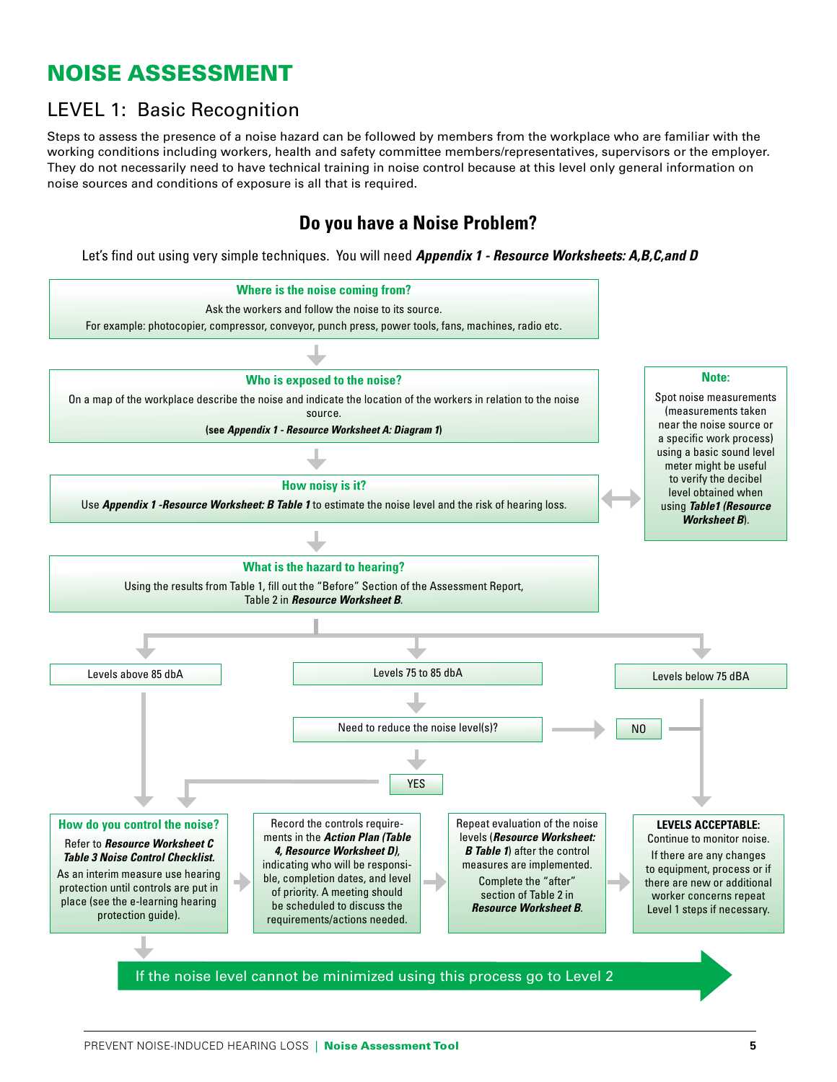# NOISE ASSESSMENT

# LEVEL 1: Basic Recognition

Steps to assess the presence of a noise hazard can be followed by members from the workplace who are familiar with the working conditions including workers, health and safety committee members/representatives, supervisors or the employer. They do not necessarily need to have technical training in noise control because at this level only general information on noise sources and conditions of exposure is all that is required.

## **Do you have a Noise Problem?**

Let's find out using very simple techniques. You will need *Appendix 1 - Resource Worksheets: A,B,C,and D*

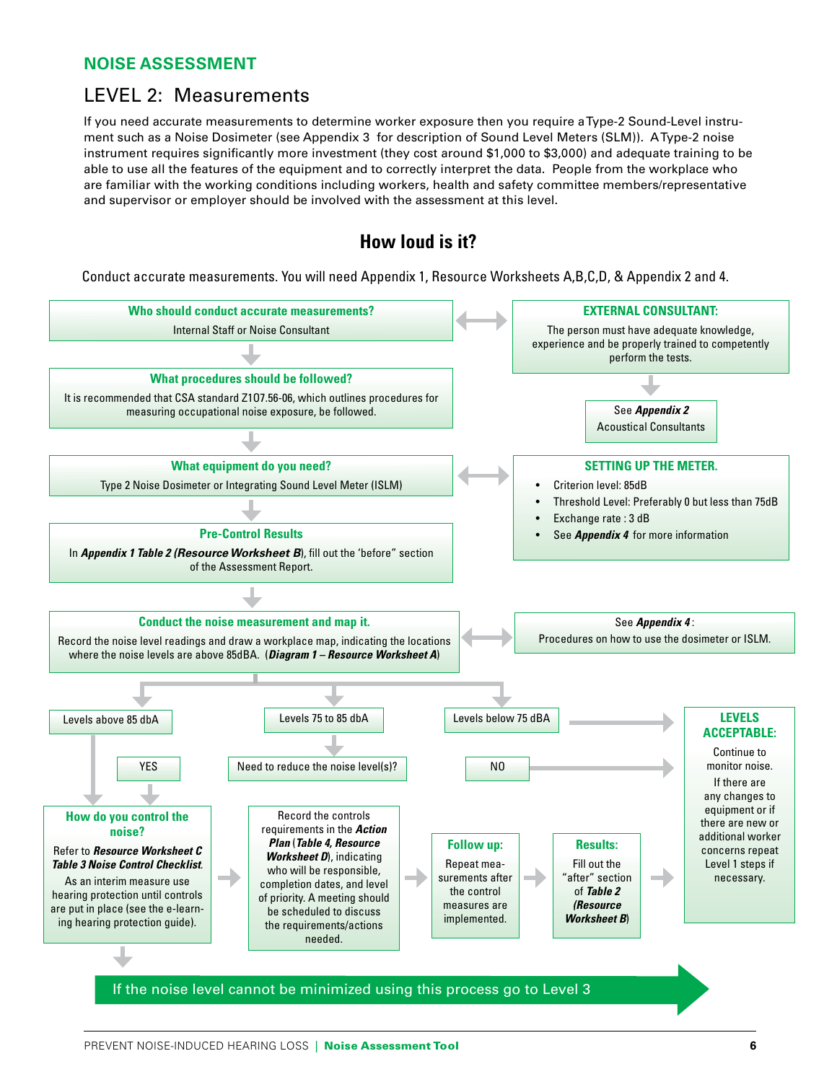#### **NOISE ASSESSMENT**

## LEVEL 2: Measurements

If you need accurate measurements to determine worker exposure then you require a Type-2 Sound-Level instrument such as a Noise Dosimeter (see Appendix 3 for description of Sound Level Meters (SLM)). A Type-2 noise instrument requires significantly more investment (they cost around \$1,000 to \$3,000) and adequate training to be able to use all the features of the equipment and to correctly interpret the data. People from the workplace who are familiar with the working conditions including workers, health and safety committee members/representative and supervisor or employer should be involved with the assessment at this level.

## **How loud is it?**

Conduct accurate measurements. You will need Appendix 1, Resource Worksheets A,B,C,D, & Appendix 2 and 4.

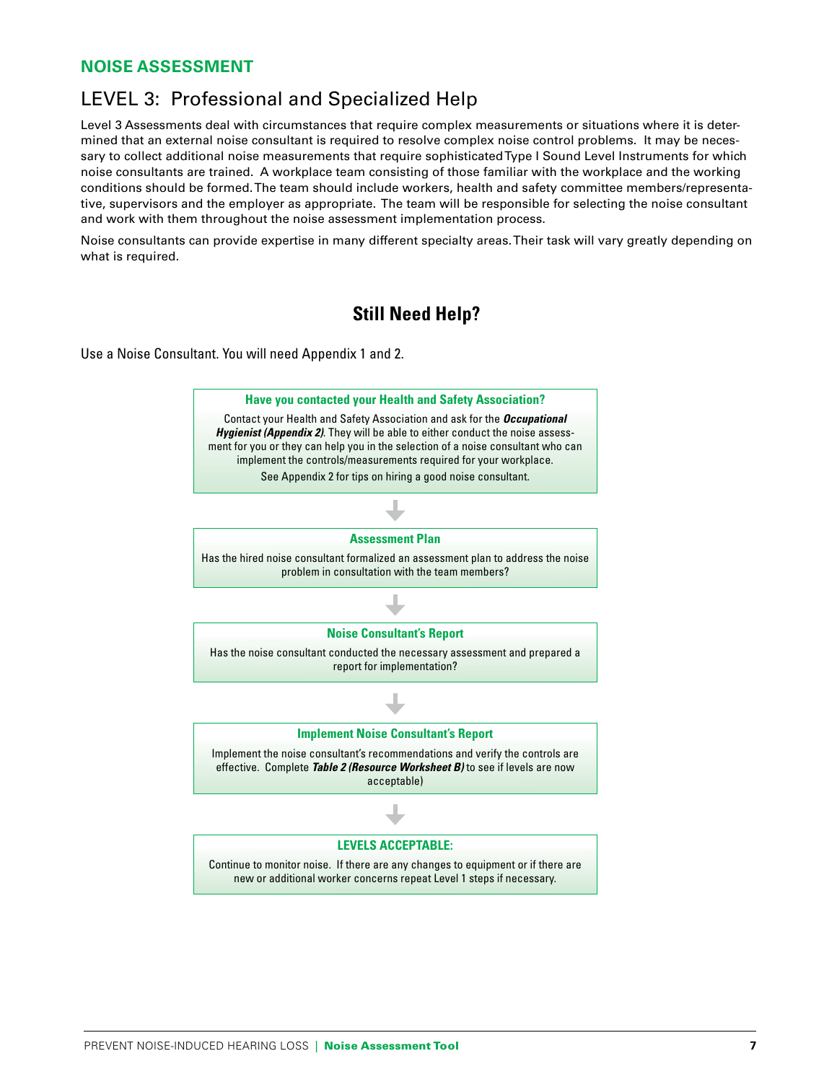#### **NOISE ASSESSMENT**

## LEVEL 3: Professional and Specialized Help

Level 3 Assessments deal with circumstances that require complex measurements or situations where it is determined that an external noise consultant is required to resolve complex noise control problems. It may be necessary to collect additional noise measurements that require sophisticated Type I Sound Level Instruments for which noise consultants are trained. A workplace team consisting of those familiar with the workplace and the working conditions should be formed. The team should include workers, health and safety committee members/representative, supervisors and the employer as appropriate. The team will be responsible for selecting the noise consultant and work with them throughout the noise assessment implementation process.

Noise consultants can provide expertise in many different specialty areas. Their task will vary greatly depending on what is required.

## **Still Need Help?**

Use a Noise Consultant. You will need Appendix 1 and 2.

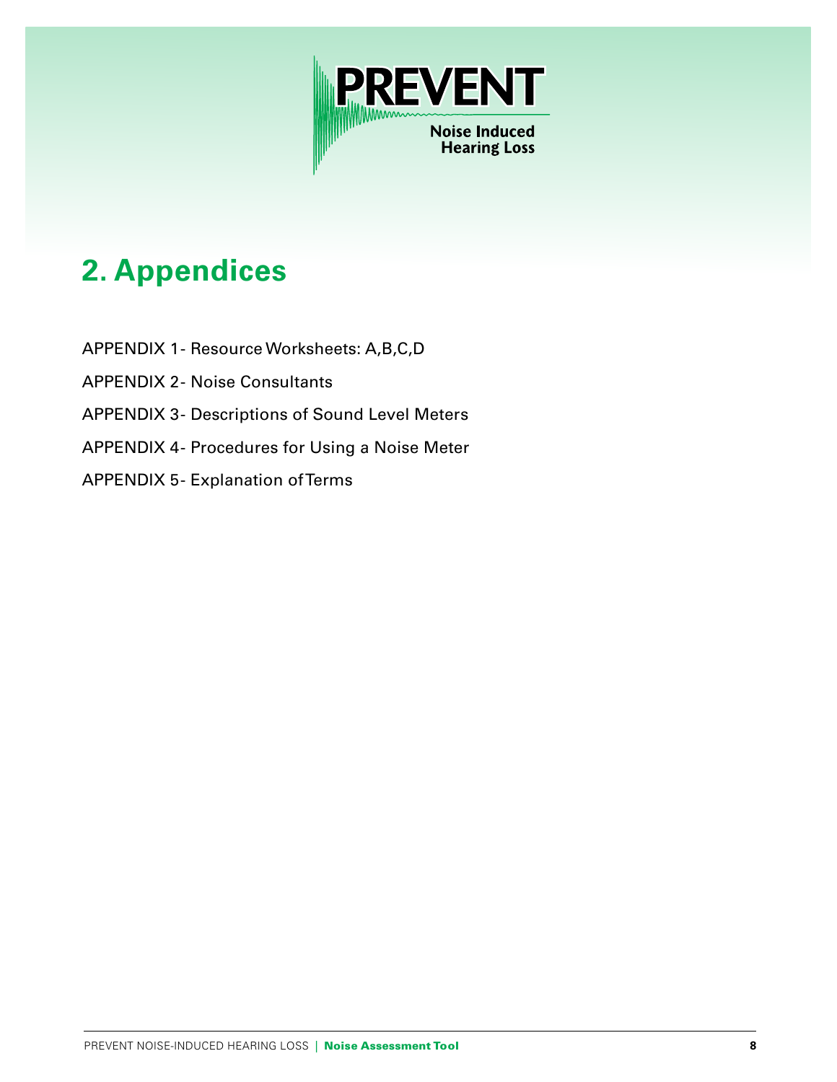

# **2. Appendices**

- APPENDIX 1 Resource Worksheets: A,B,C,D
- APPENDIX 2- Noise Consultants
- APPENDIX 3- Descriptions of Sound Level Meters
- APPENDIX 4- Procedures for Using a Noise Meter
- APPENDIX 5- Explanation of Terms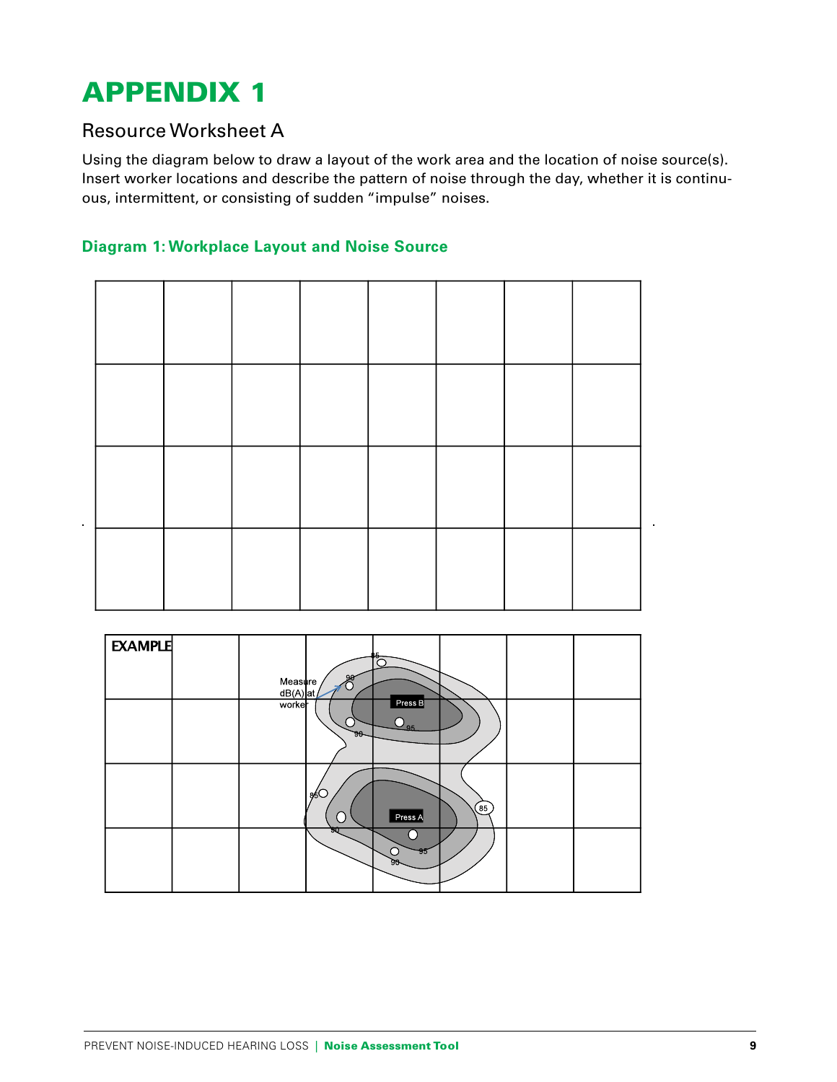## Resource Worksheet A

Using the diagram below to draw a layout of the work area and the location of noise source(s). Insert worker locations and describe the pattern of noise through the day, whether it is continuous, intermittent, or consisting of sudden "impulse" noises.

### **Diagram 1: Workplace Layout and Noise Source**



| <b>EXAMPLE</b> |                       | 90        | ٷ                         |           |  |
|----------------|-----------------------|-----------|---------------------------|-----------|--|
|                | Measure<br>$dB(A)$ at |           |                           |           |  |
|                | worker                | Э.<br>90- | Press B<br>$O_{\rm 95}$   |           |  |
|                |                       | 86O       | Press A                   | $^{(85)}$ |  |
|                |                       | জচ        | $\frac{95}{5}$<br>∩<br>90 |           |  |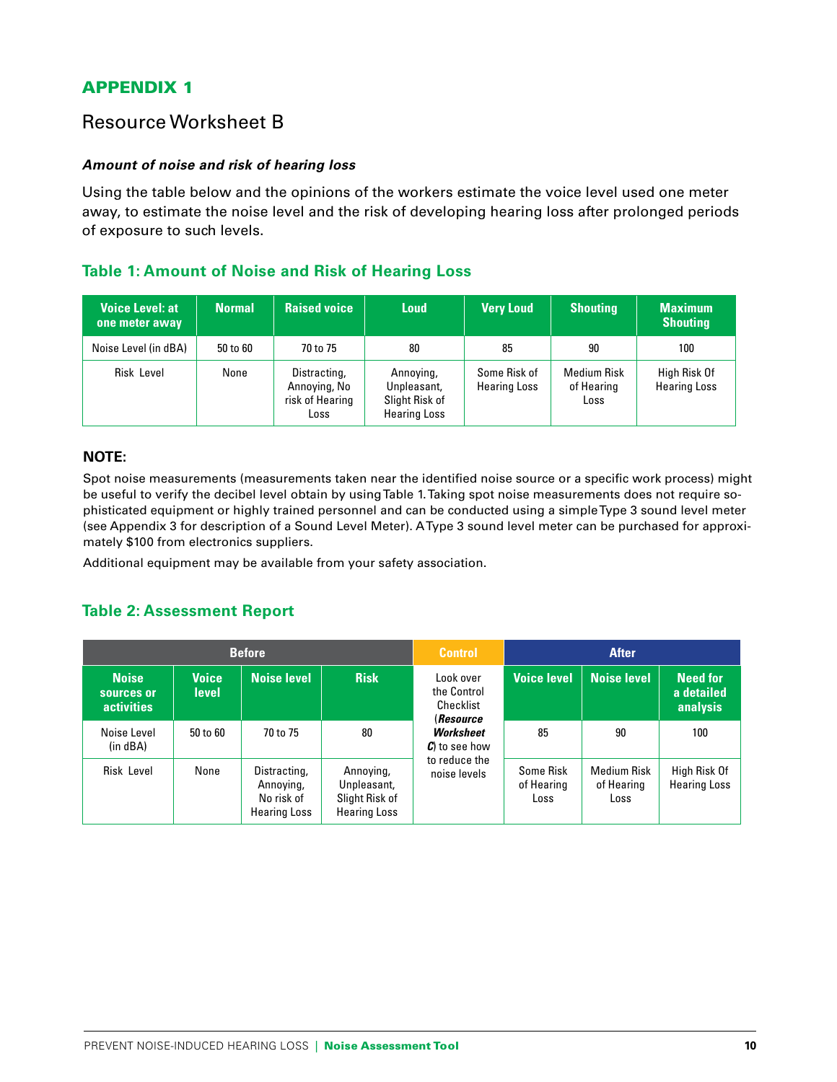## Resource Worksheet B

#### **Amount of noise and risk of hearing loss**

Using the table below and the opinions of the workers estimate the voice level used one meter away, to estimate the noise level and the risk of developing hearing loss after prolonged periods of exposure to such levels.

#### **Table 1: Amount of Noise and Risk of Hearing Loss**

| <b>Voice Level: at</b><br>one meter away | <b>Normal</b> | <b>Raised voice</b>                                     | <b>Loud</b>                                                       | <b>Very Loud</b>                    | <b>Shouting</b>                          | <b>Maximum</b><br><b>Shouting</b>   |
|------------------------------------------|---------------|---------------------------------------------------------|-------------------------------------------------------------------|-------------------------------------|------------------------------------------|-------------------------------------|
| Noise Level (in dBA)                     | 50 to 60      | 70 to 75                                                | 80                                                                | 85                                  | 90                                       | 100                                 |
| Risk Level                               | None          | Distracting,<br>Annoying, No<br>risk of Hearing<br>Loss | Annoying,<br>Unpleasant,<br>Slight Risk of<br><b>Hearing Loss</b> | Some Risk of<br><b>Hearing Loss</b> | <b>Medium Risk</b><br>of Hearing<br>Loss | High Risk Of<br><b>Hearing Loss</b> |

#### **NOTE:**

Spot noise measurements (measurements taken near the identified noise source or a specific work process) might be useful to verify the decibel level obtain by using Table 1. Taking spot noise measurements does not require sophisticated equipment or highly trained personnel and can be conducted using a simple Type 3 sound level meter (see Appendix 3 for description of a Sound Level Meter). A Type 3 sound level meter can be purchased for approximately \$100 from electronics suppliers.

Additional equipment may be available from your safety association.

#### **Table 2: Assessment Report**

| <b>Before</b>                                   |                              |                                                                | <b>Control</b>                                                    |                                                                  | <b>After</b>                    |                                          |                                           |
|-------------------------------------------------|------------------------------|----------------------------------------------------------------|-------------------------------------------------------------------|------------------------------------------------------------------|---------------------------------|------------------------------------------|-------------------------------------------|
| <b>Noise</b><br>sources or<br><b>activities</b> | <b>Voice</b><br><b>level</b> | Noise level                                                    | <b>Risk</b>                                                       | Look over<br>the Control<br>Checklist<br><i><b>(Resource</b></i> | <b>Voice level</b>              | Noise level                              | <b>Need for</b><br>a detailed<br>analysis |
| Noise Level<br>(in dBA)                         | 50 to 60                     | 70 to 75                                                       | 80                                                                | <b>Worksheet</b><br>$\mathcal{C}$ to see how                     | 85                              | 90                                       | 100                                       |
| Risk Level                                      | None                         | Distracting,<br>Annoving,<br>No risk of<br><b>Hearing Loss</b> | Annoying,<br>Unpleasant,<br>Slight Risk of<br><b>Hearing Loss</b> | to reduce the<br>noise levels                                    | Some Risk<br>of Hearing<br>Loss | <b>Medium Risk</b><br>of Hearing<br>Loss | High Risk Of<br><b>Hearing Loss</b>       |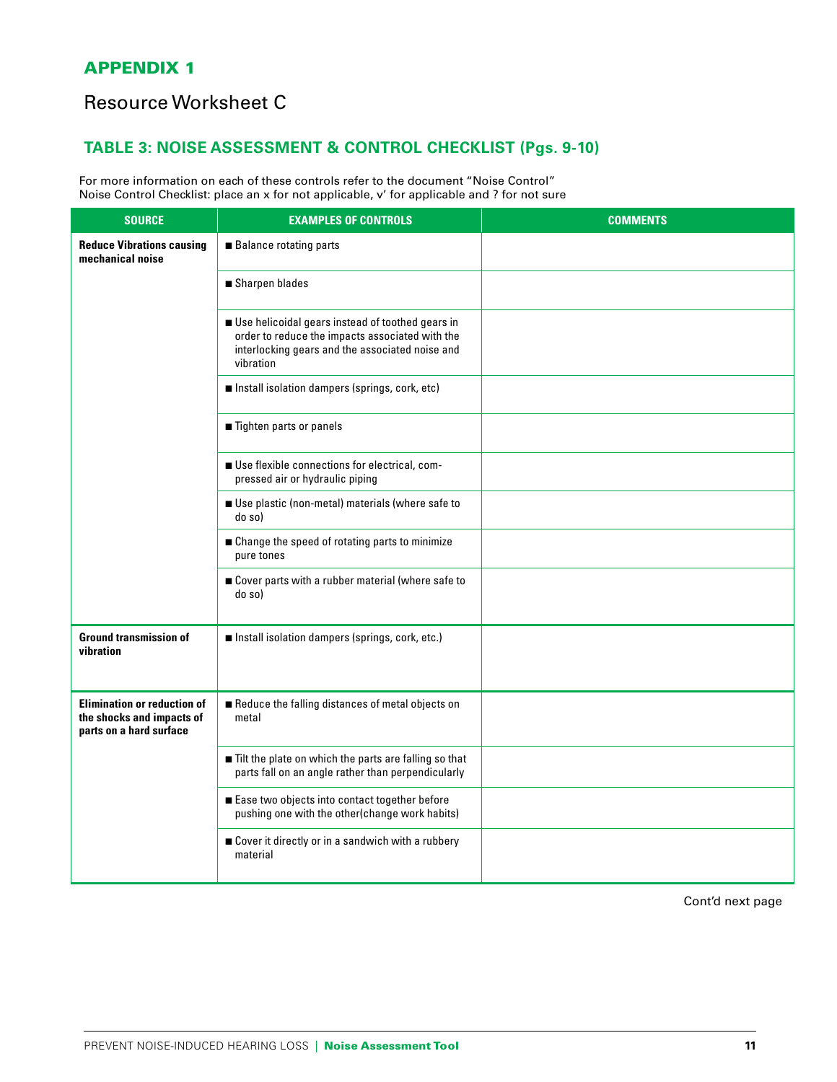## Resource Worksheet C

## **TABLE 3: NOISE ASSESSMENT & CONTROL CHECKLIST (Pgs. 9-10)**

For more information on each of these controls refer to the document "Noise Control" Noise Control Checklist: place an x for not applicable, v' for applicable and ? for not sure

| <b>SOURCE</b>                                                                              | <b>EXAMPLES OF CONTROLS</b>                                                                                                                                         | <b>COMMENTS</b> |
|--------------------------------------------------------------------------------------------|---------------------------------------------------------------------------------------------------------------------------------------------------------------------|-----------------|
| <b>Reduce Vibrations causing</b><br>mechanical noise                                       | <b>Balance rotating parts</b>                                                                                                                                       |                 |
|                                                                                            | ■ Sharpen blades                                                                                                                                                    |                 |
|                                                                                            | Use helicoidal gears instead of toothed gears in<br>order to reduce the impacts associated with the<br>interlocking gears and the associated noise and<br>vibration |                 |
|                                                                                            | Install isolation dampers (springs, cork, etc)                                                                                                                      |                 |
|                                                                                            | Tighten parts or panels                                                                                                                                             |                 |
|                                                                                            | Use flexible connections for electrical, com-<br>pressed air or hydraulic piping                                                                                    |                 |
|                                                                                            | Use plastic (non-metal) materials (where safe to<br>do so)                                                                                                          |                 |
|                                                                                            | ■ Change the speed of rotating parts to minimize<br>pure tones                                                                                                      |                 |
|                                                                                            | Cover parts with a rubber material (where safe to<br>do so)                                                                                                         |                 |
| <b>Ground transmission of</b><br>vibration                                                 | Install isolation dampers (springs, cork, etc.)                                                                                                                     |                 |
| <b>Elimination or reduction of</b><br>the shocks and impacts of<br>parts on a hard surface | Reduce the falling distances of metal objects on<br>metal                                                                                                           |                 |
|                                                                                            | Tilt the plate on which the parts are falling so that<br>parts fall on an angle rather than perpendicularly                                                         |                 |
|                                                                                            | Ease two objects into contact together before<br>pushing one with the other(change work habits)                                                                     |                 |
|                                                                                            | Cover it directly or in a sandwich with a rubbery<br>material                                                                                                       |                 |

Cont'd next page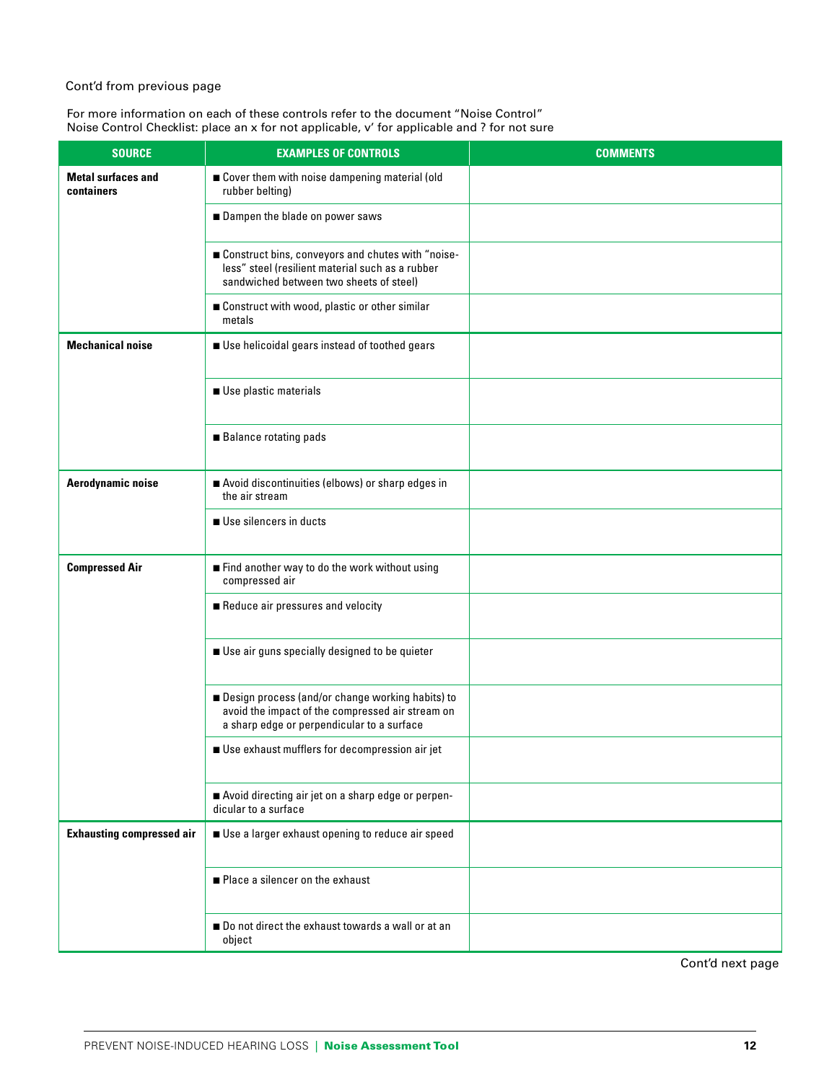#### Cont'd from previous page

For more information on each of these controls refer to the document "Noise Control" Noise Control Checklist: place an x for not applicable, v' for applicable and ? for not sure

| <b>SOURCE</b>                           | <b>EXAMPLES OF CONTROLS</b>                                                                                                                        | <b>COMMENTS</b> |
|-----------------------------------------|----------------------------------------------------------------------------------------------------------------------------------------------------|-----------------|
| <b>Metal surfaces and</b><br>containers | Cover them with noise dampening material (old<br>rubber belting)                                                                                   |                 |
|                                         | Dampen the blade on power saws                                                                                                                     |                 |
|                                         | ■ Construct bins, conveyors and chutes with "noise-<br>less" steel (resilient material such as a rubber<br>sandwiched between two sheets of steel) |                 |
|                                         | Construct with wood, plastic or other similar<br>metals                                                                                            |                 |
| <b>Mechanical noise</b>                 | Use helicoidal gears instead of toothed gears                                                                                                      |                 |
|                                         | Use plastic materials                                                                                                                              |                 |
|                                         | <b>Balance rotating pads</b>                                                                                                                       |                 |
| Aerodynamic noise                       | Avoid discontinuities (elbows) or sharp edges in<br>the air stream                                                                                 |                 |
|                                         | Use silencers in ducts                                                                                                                             |                 |
| <b>Compressed Air</b>                   | Find another way to do the work without using<br>compressed air                                                                                    |                 |
|                                         | Reduce air pressures and velocity                                                                                                                  |                 |
|                                         | Use air guns specially designed to be quieter                                                                                                      |                 |
|                                         | Design process (and/or change working habits) to<br>avoid the impact of the compressed air stream on<br>a sharp edge or perpendicular to a surface |                 |
|                                         | Use exhaust mufflers for decompression air jet                                                                                                     |                 |
|                                         | Avoid directing air jet on a sharp edge or perpen-<br>dicular to a surface                                                                         |                 |
| <b>Exhausting compressed air</b>        | Use a larger exhaust opening to reduce air speed                                                                                                   |                 |
|                                         | Place a silencer on the exhaust                                                                                                                    |                 |
|                                         | Do not direct the exhaust towards a wall or at an<br>object                                                                                        |                 |

Cont'd next page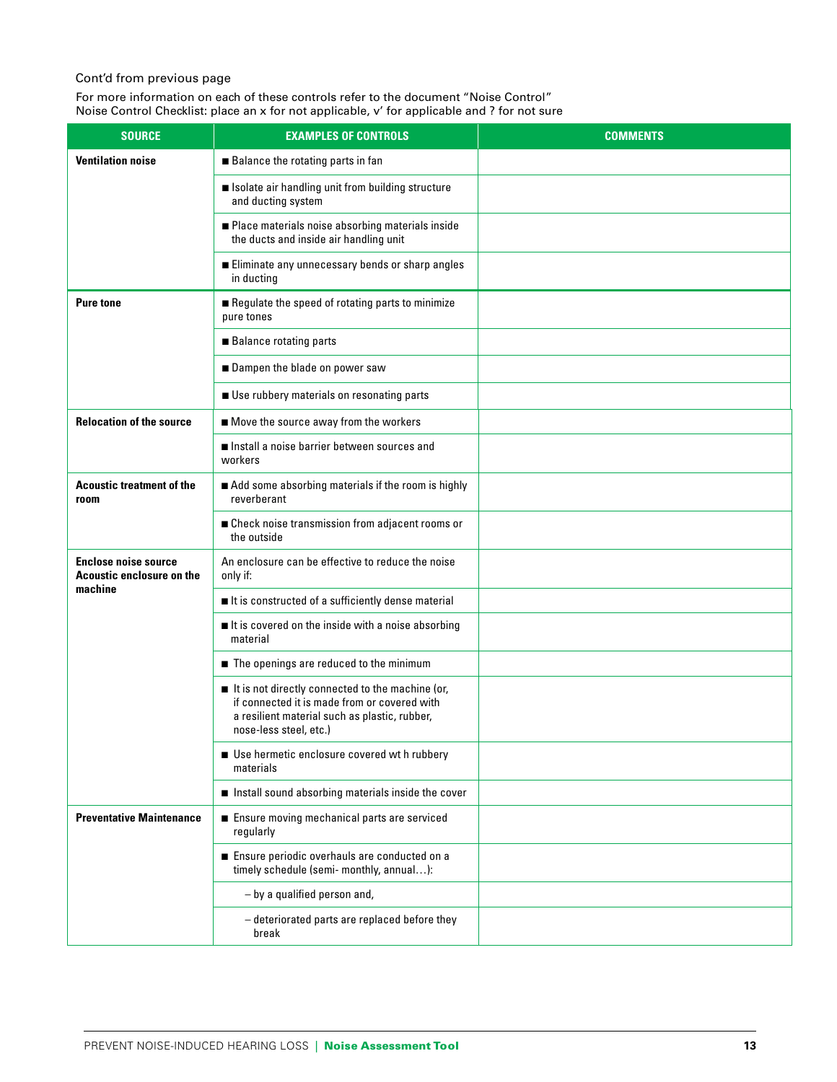#### Cont'd from previous page

For more information on each of these controls refer to the document "Noise Control" Noise Control Checklist: place an x for not applicable, v' for applicable and ? for not sure

| <b>SOURCE</b>                                            | <b>EXAMPLES OF CONTROLS</b>                                                                                                                                                 | <b>COMMENTS</b> |
|----------------------------------------------------------|-----------------------------------------------------------------------------------------------------------------------------------------------------------------------------|-----------------|
| <b>Ventilation noise</b>                                 | <b>Balance the rotating parts in fan</b>                                                                                                                                    |                 |
|                                                          | solate air handling unit from building structure<br>and ducting system                                                                                                      |                 |
|                                                          | Place materials noise absorbing materials inside<br>the ducts and inside air handling unit                                                                                  |                 |
|                                                          | Eliminate any unnecessary bends or sharp angles<br>in ducting                                                                                                               |                 |
| <b>Pure tone</b>                                         | Regulate the speed of rotating parts to minimize<br>pure tones                                                                                                              |                 |
|                                                          | <b>Balance rotating parts</b>                                                                                                                                               |                 |
|                                                          | Dampen the blade on power saw                                                                                                                                               |                 |
|                                                          | Use rubbery materials on resonating parts                                                                                                                                   |                 |
| <b>Relocation of the source</b>                          | Move the source away from the workers                                                                                                                                       |                 |
|                                                          | Install a noise barrier between sources and<br>workers                                                                                                                      |                 |
| <b>Acoustic treatment of the</b><br>room                 | Add some absorbing materials if the room is highly<br>reverberant                                                                                                           |                 |
|                                                          | ■ Check noise transmission from adjacent rooms or<br>the outside                                                                                                            |                 |
| <b>Enclose noise source</b><br>Acoustic enclosure on the | An enclosure can be effective to reduce the noise<br>only if:                                                                                                               |                 |
| machine                                                  | It is constructed of a sufficiently dense material                                                                                                                          |                 |
|                                                          | It is covered on the inside with a noise absorbing<br>material                                                                                                              |                 |
|                                                          | The openings are reduced to the minimum                                                                                                                                     |                 |
|                                                          | It is not directly connected to the machine (or,<br>if connected it is made from or covered with<br>a resilient material such as plastic, rubber,<br>nose-less steel, etc.) |                 |
|                                                          | Use hermetic enclosure covered wt h rubbery<br>materials                                                                                                                    |                 |
|                                                          | Install sound absorbing materials inside the cover                                                                                                                          |                 |
| <b>Preventative Maintenance</b>                          | Ensure moving mechanical parts are serviced<br>regularly                                                                                                                    |                 |
|                                                          | Ensure periodic overhauls are conducted on a<br>timely schedule (semi- monthly, annual):                                                                                    |                 |
|                                                          | - by a qualified person and,                                                                                                                                                |                 |
|                                                          | - deteriorated parts are replaced before they<br>break                                                                                                                      |                 |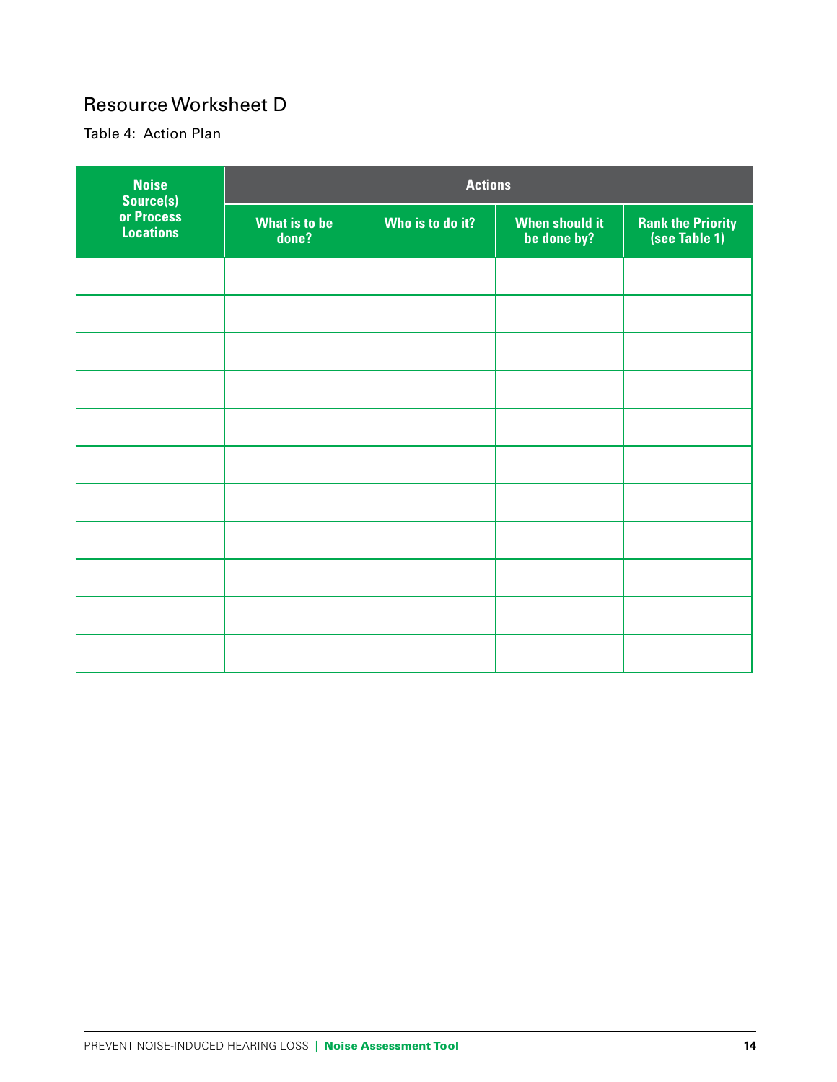# Resource Worksheet D

Table 4: Action Plan

| <b>Noise</b><br>Source(s)      | <b>Actions</b>                |                  |                                      |                                            |  |
|--------------------------------|-------------------------------|------------------|--------------------------------------|--------------------------------------------|--|
| or Process<br><b>Locations</b> | <b>What is to be</b><br>done? | Who is to do it? | <b>When should it</b><br>be done by? | <b>Rank the Priority<br/>(see Table 1)</b> |  |
|                                |                               |                  |                                      |                                            |  |
|                                |                               |                  |                                      |                                            |  |
|                                |                               |                  |                                      |                                            |  |
|                                |                               |                  |                                      |                                            |  |
|                                |                               |                  |                                      |                                            |  |
|                                |                               |                  |                                      |                                            |  |
|                                |                               |                  |                                      |                                            |  |
|                                |                               |                  |                                      |                                            |  |
|                                |                               |                  |                                      |                                            |  |
|                                |                               |                  |                                      |                                            |  |
|                                |                               |                  |                                      |                                            |  |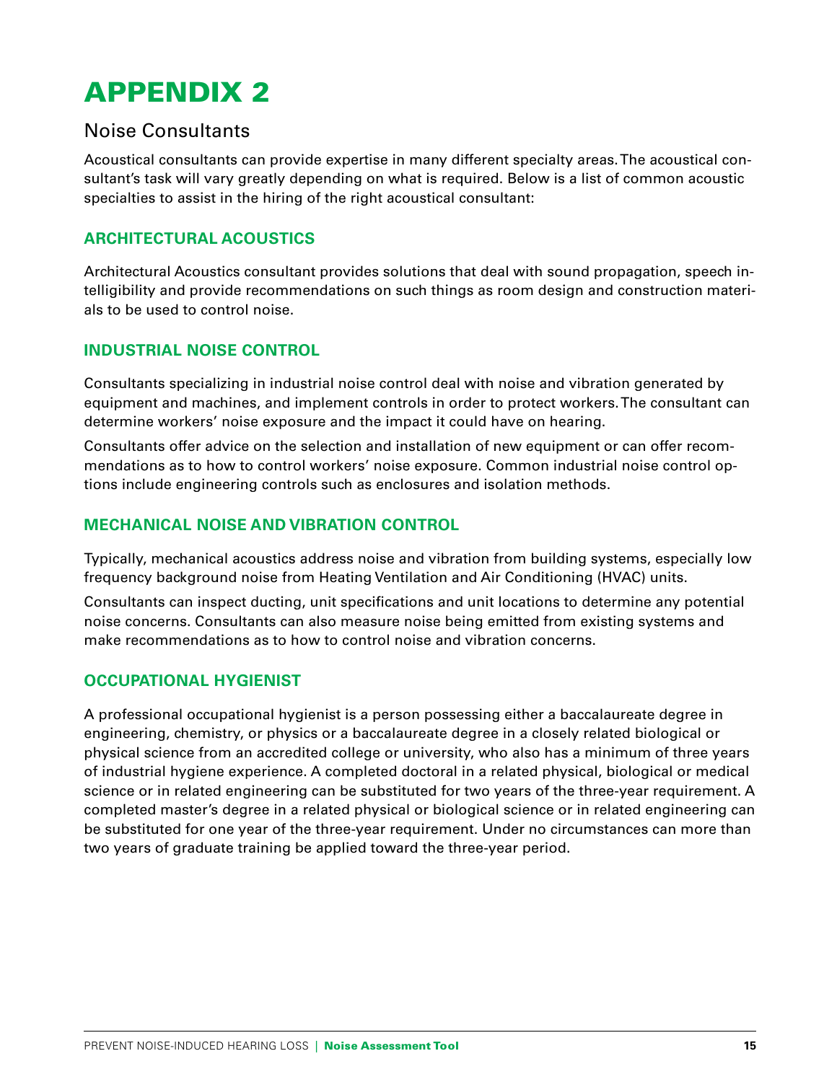## Noise Consultants

Acoustical consultants can provide expertise in many different specialty areas. The acoustical consultant's task will vary greatly depending on what is required. Below is a list of common acoustic specialties to assist in the hiring of the right acoustical consultant:

### **ARCHITECTURAL ACOUSTICS**

Architectural Acoustics consultant provides solutions that deal with sound propagation, speech intelligibility and provide recommendations on such things as room design and construction materials to be used to control noise.

#### **INDUSTRIAL NOISE CONTROL**

Consultants specializing in industrial noise control deal with noise and vibration generated by equipment and machines, and implement controls in order to protect workers. The consultant can determine workers' noise exposure and the impact it could have on hearing.

Consultants offer advice on the selection and installation of new equipment or can offer recommendations as to how to control workers' noise exposure. Common industrial noise control options include engineering controls such as enclosures and isolation methods.

### **MECHANICAL NOISE AND VIBRATION CONTROL**

Typically, mechanical acoustics address noise and vibration from building systems, especially low frequency background noise from Heating Ventilation and Air Conditioning (HVAC) units.

Consultants can inspect ducting, unit specifications and unit locations to determine any potential noise concerns. Consultants can also measure noise being emitted from existing systems and make recommendations as to how to control noise and vibration concerns.

#### **OCCUPATIONAL HYGIENIST**

A professional occupational hygienist is a person possessing either a baccalaureate degree in engineering, chemistry, or physics or a baccalaureate degree in a closely related biological or physical science from an accredited college or university, who also has a minimum of three years of industrial hygiene experience. A completed doctoral in a related physical, biological or medical science or in related engineering can be substituted for two years of the three-year requirement. A completed master's degree in a related physical or biological science or in related engineering can be substituted for one year of the three-year requirement. Under no circumstances can more than two years of graduate training be applied toward the three-year period.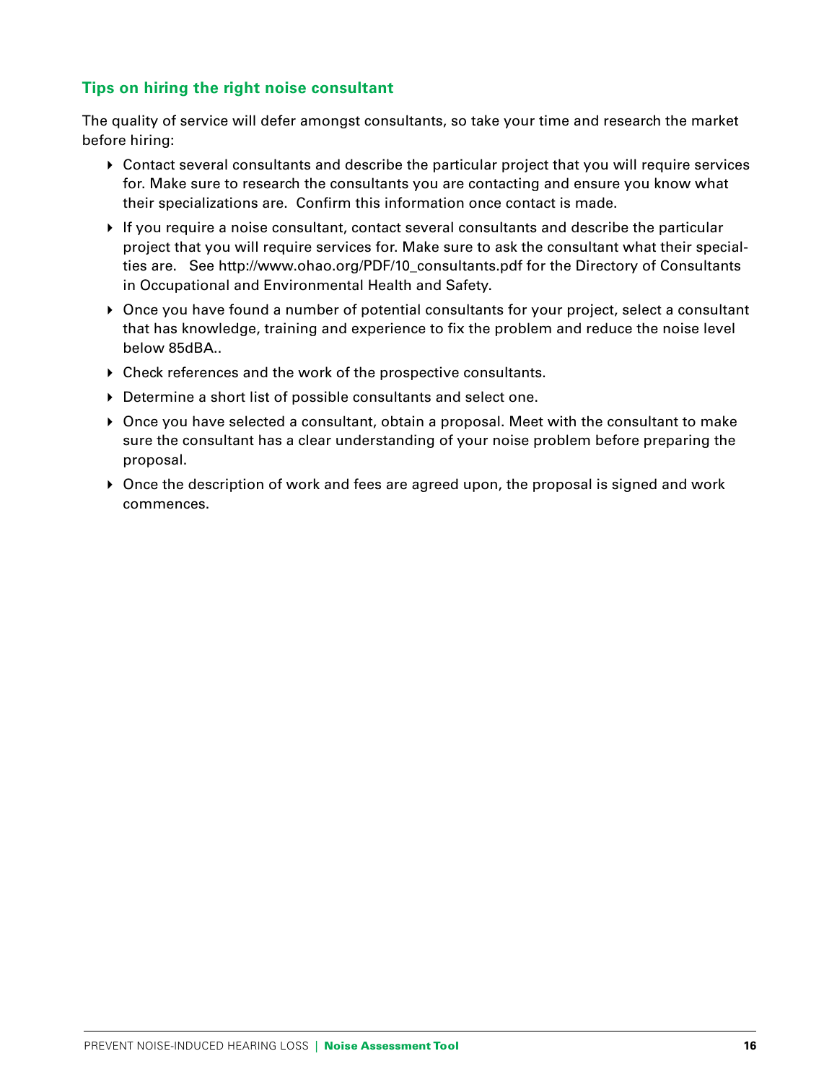### **Tips on hiring the right noise consultant**

The quality of service will defer amongst consultants, so take your time and research the market before hiring:

- Contact several consultants and describe the particular project that you will require services for. Make sure to research the consultants you are contacting and ensure you know what their specializations are. Confirm this information once contact is made.
- $\blacktriangleright$  If you require a noise consultant, contact several consultants and describe the particular project that you will require services for. Make sure to ask the consultant what their specialties are. See http://www.ohao.org/PDF/10\_consultants.pdf for the Directory of Consultants in Occupational and Environmental Health and Safety.
- Once you have found a number of potential consultants for your project, select a consultant that has knowledge, training and experience to fix the problem and reduce the noise level below 85dBA..
- Check references and the work of the prospective consultants.
- Determine a short list of possible consultants and select one.
- Once you have selected a consultant, obtain a proposal. Meet with the consultant to make sure the consultant has a clear understanding of your noise problem before preparing the proposal.
- ▶ Once the description of work and fees are agreed upon, the proposal is signed and work commences.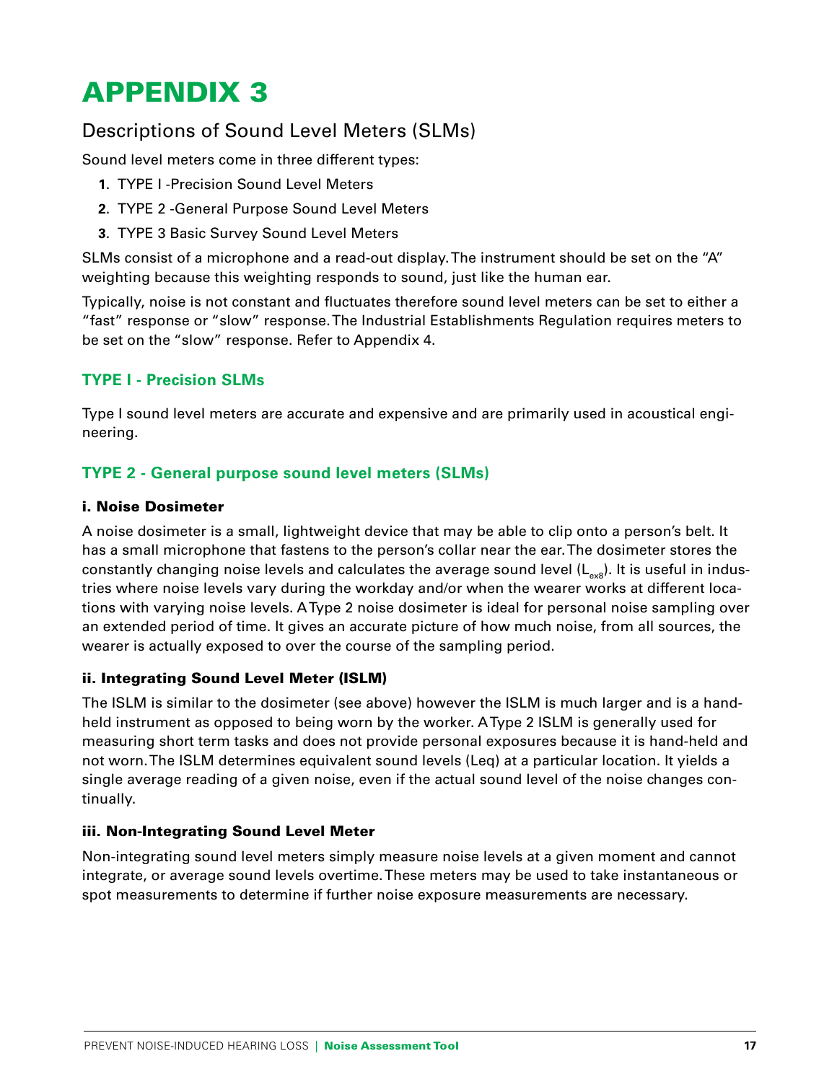# Descriptions of Sound Level Meters (SLMs)

Sound level meters come in three different types:

- **1**. TYPE I -Precision Sound Level Meters
- **2**. TYPE 2 -General Purpose Sound Level Meters
- **3**. TYPE 3 Basic Survey Sound Level Meters

SLMs consist of a microphone and a read-out display. The instrument should be set on the "A" weighting because this weighting responds to sound, just like the human ear.

Typically, noise is not constant and fluctuates therefore sound level meters can be set to either a "fast" response or "slow" response. The Industrial Establishments Regulation requires meters to be set on the "slow" response. Refer to Appendix 4.

#### **TYPE I - Precision SLMs**

Type I sound level meters are accurate and expensive and are primarily used in acoustical engineering.

### **TYPE 2 - General purpose sound level meters (SLMs)**

#### i. Noise Dosimeter

A noise dosimeter is a small, lightweight device that may be able to clip onto a person's belt. It has a small microphone that fastens to the person's collar near the ear. The dosimeter stores the constantly changing noise levels and calculates the average sound level  $(L_{\text{max}})$ . It is useful in industries where noise levels vary during the workday and/or when the wearer works at different locations with varying noise levels. A Type 2 noise dosimeter is ideal for personal noise sampling over an extended period of time. It gives an accurate picture of how much noise, from all sources, the wearer is actually exposed to over the course of the sampling period.

#### ii. Integrating Sound Level Meter (ISLM)

The ISLM is similar to the dosimeter (see above) however the ISLM is much larger and is a handheld instrument as opposed to being worn by the worker. A Type 2 ISLM is generally used for measuring short term tasks and does not provide personal exposures because it is hand-held and not worn. The ISLM determines equivalent sound levels (Leq) at a particular location. It yields a single average reading of a given noise, even if the actual sound level of the noise changes continually.

#### iii. Non-Integrating Sound Level Meter

Non-integrating sound level meters simply measure noise levels at a given moment and cannot integrate, or average sound levels overtime. These meters may be used to take instantaneous or spot measurements to determine if further noise exposure measurements are necessary.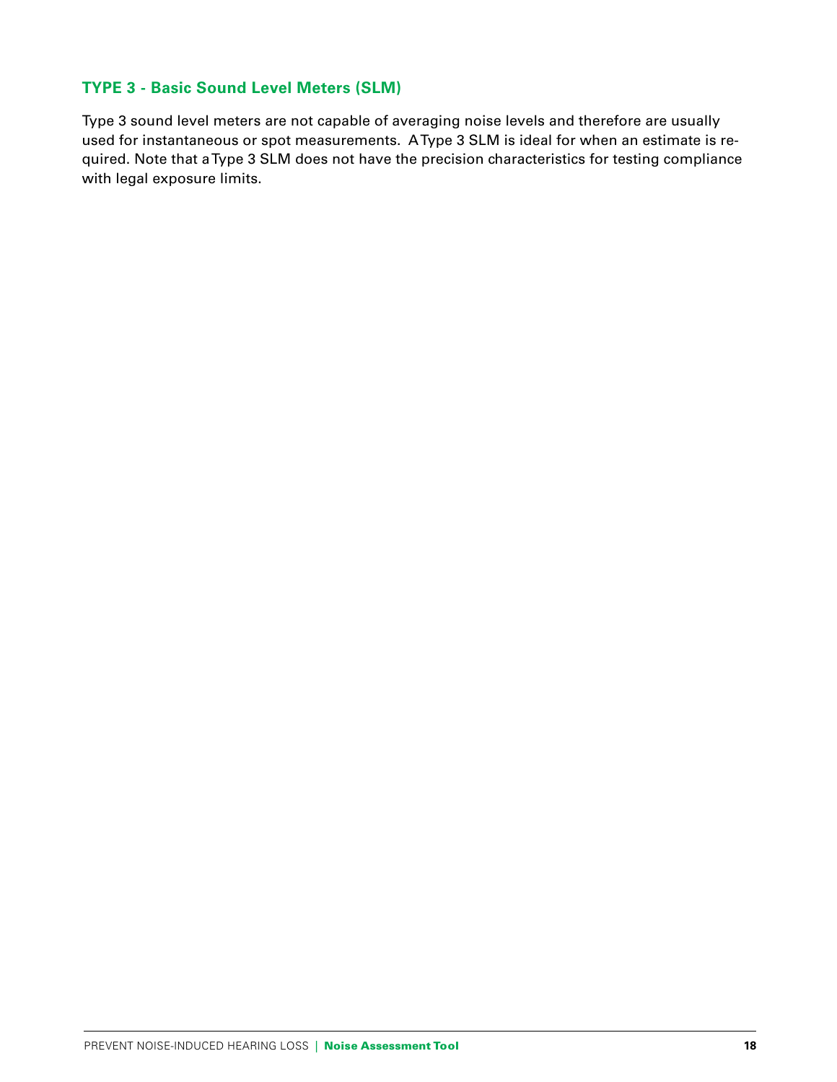#### **TYPE 3 - Basic Sound Level Meters (SLM)**

Type 3 sound level meters are not capable of averaging noise levels and therefore are usually used for instantaneous or spot measurements. A Type 3 SLM is ideal for when an estimate is required. Note that a Type 3 SLM does not have the precision characteristics for testing compliance with legal exposure limits.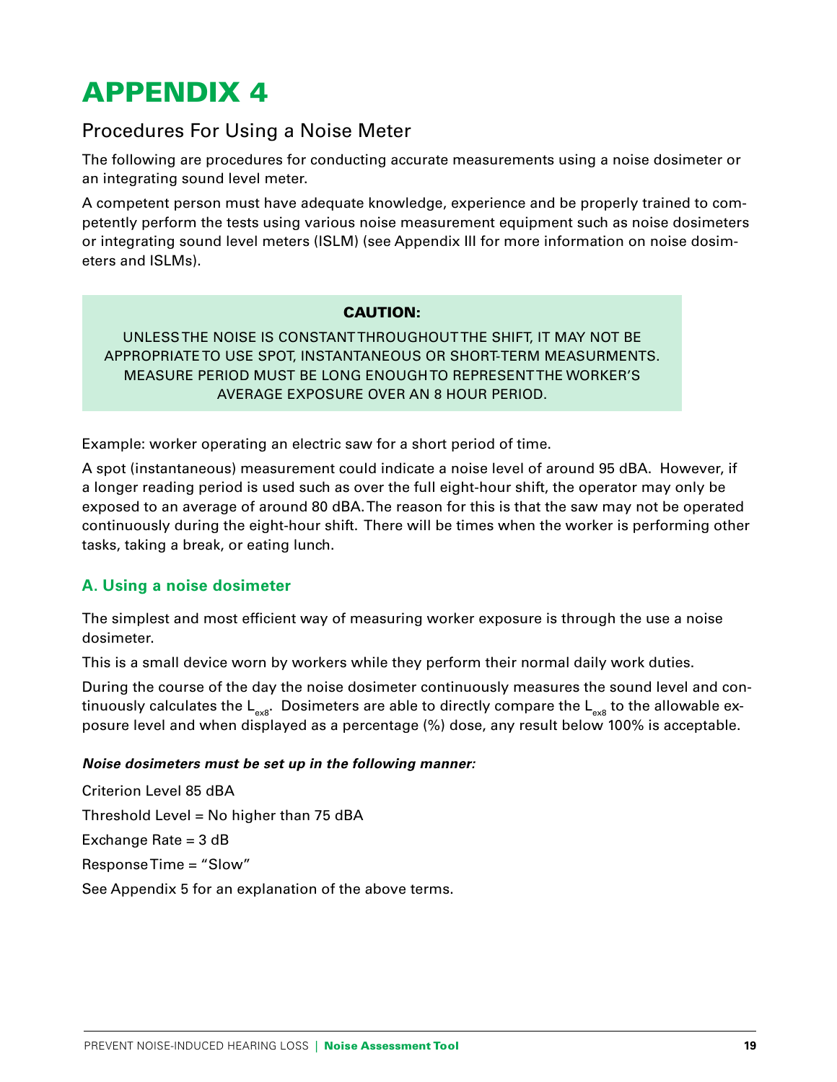## Procedures For Using a Noise Meter

The following are procedures for conducting accurate measurements using a noise dosimeter or an integrating sound level meter.

A competent person must have adequate knowledge, experience and be properly trained to competently perform the tests using various noise measurement equipment such as noise dosimeters or integrating sound level meters (ISLM) (see Appendix III for more information on noise dosimeters and ISLMs).

#### CAUTION:

UNLESS THE NOISE IS CONSTANT THROUGHOUT THE SHIFT, IT MAY NOT BE APPROPRIATE TO USE SPOT, INSTANTANEOUS OR SHORT-TERM MEASURMENTS. MEASURE PERIOD MUST BE LONG ENOUGH TO REPRESENT THE WORKER'S AVERAGE EXPOSURE OVER AN 8 HOUR PERIOD.

Example: worker operating an electric saw for a short period of time.

A spot (instantaneous) measurement could indicate a noise level of around 95 dBA. However, if a longer reading period is used such as over the full eight-hour shift, the operator may only be exposed to an average of around 80 dBA. The reason for this is that the saw may not be operated continuously during the eight-hour shift. There will be times when the worker is performing other tasks, taking a break, or eating lunch.

#### **A. Using a noise dosimeter**

The simplest and most efficient way of measuring worker exposure is through the use a noise dosimeter.

This is a small device worn by workers while they perform their normal daily work duties.

During the course of the day the noise dosimeter continuously measures the sound level and continuously calculates the  $L_{ex8}$ . Dosimeters are able to directly compare the  $L_{ex8}$  to the allowable exposure level and when displayed as a percentage (%) dose, any result below 100% is acceptable.

#### **Noise dosimeters must be set up in the following manner:**

Criterion Level 85 dBA Threshold Level = No higher than 75 dBA Exchange Rate = 3 dB Response Time = "Slow" See Appendix 5 for an explanation of the above terms.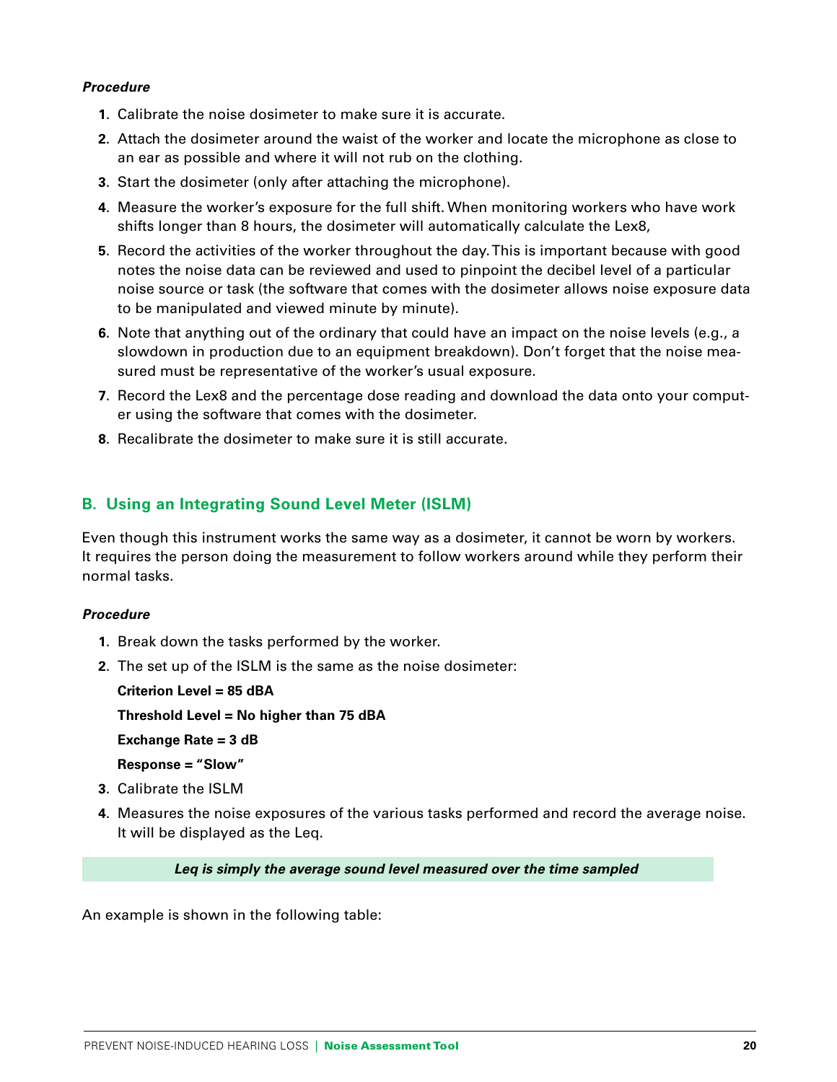#### **Procedure**

- **1**. Calibrate the noise dosimeter to make sure it is accurate.
- **2**. Attach the dosimeter around the waist of the worker and locate the microphone as close to an ear as possible and where it will not rub on the clothing.
- **3**. Start the dosimeter (only after attaching the microphone).
- **4**. Measure the worker's exposure for the full shift. When monitoring workers who have work shifts longer than 8 hours, the dosimeter will automatically calculate the Lex8,
- **5**. Record the activities of the worker throughout the day. This is important because with good notes the noise data can be reviewed and used to pinpoint the decibel level of a particular noise source or task (the software that comes with the dosimeter allows noise exposure data to be manipulated and viewed minute by minute).
- **6**. Note that anything out of the ordinary that could have an impact on the noise levels (e.g., a slowdown in production due to an equipment breakdown). Don't forget that the noise measured must be representative of the worker's usual exposure.
- **7**. Record the Lex8 and the percentage dose reading and download the data onto your computer using the software that comes with the dosimeter.
- **8**. Recalibrate the dosimeter to make sure it is still accurate.

### **B. Using an Integrating Sound Level Meter (ISLM)**

Even though this instrument works the same way as a dosimeter, it cannot be worn by workers. It requires the person doing the measurement to follow workers around while they perform their normal tasks.

#### **Procedure**

- **1**. Break down the tasks performed by the worker.
- **2**. The set up of the ISLM is the same as the noise dosimeter:
	- **Criterion Level = 85 dBA**

 **Threshold Level = No higher than 75 dBA**

 **Exchange Rate = 3 dB**

 **Response = "Slow"**

- **3**. Calibrate the ISLM
- **4**. Measures the noise exposures of the various tasks performed and record the average noise. It will be displayed as the Leq.

**Leq is simply the average sound level measured over the time sampled**

An example is shown in the following table: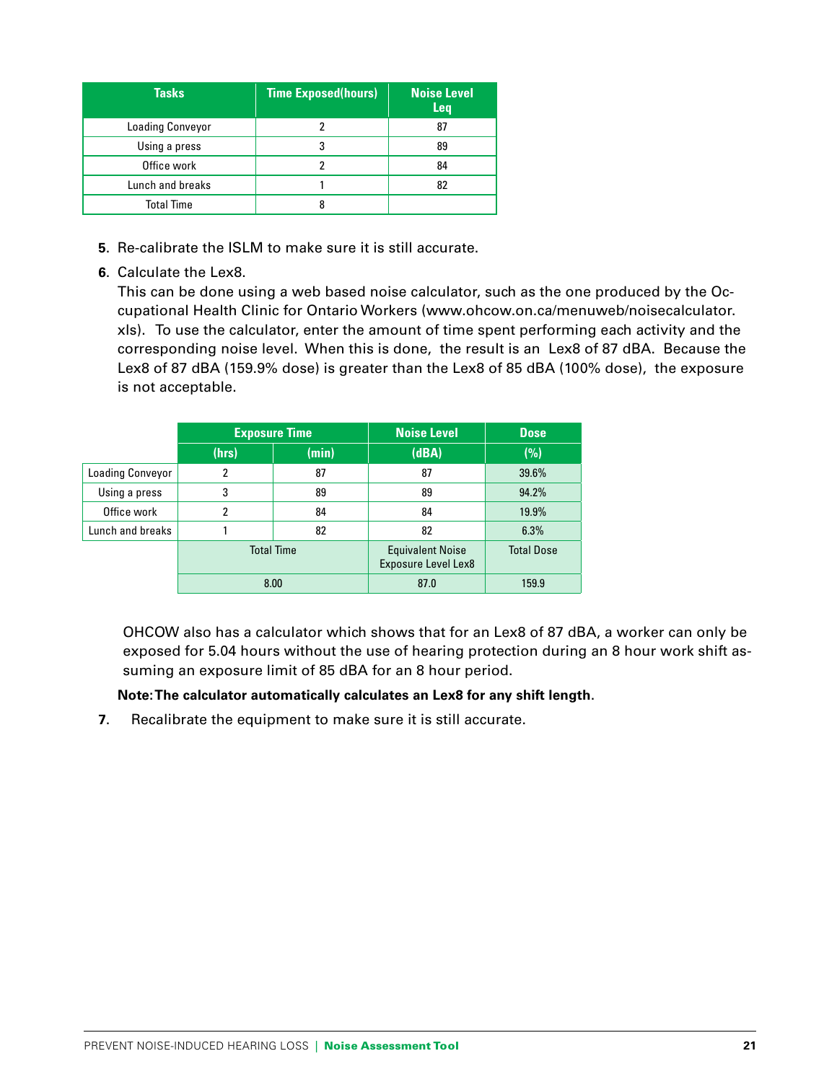| <b>Tasks</b>            | <b>Time Exposed(hours)</b> | <b>Noise Level</b><br><b>Leq</b> |
|-------------------------|----------------------------|----------------------------------|
| <b>Loading Conveyor</b> |                            | 87                               |
| Using a press           |                            | 89                               |
| Office work             |                            | 84                               |
| Lunch and breaks        |                            | 82                               |
| <b>Total Time</b>       |                            |                                  |

- **5**. Re-calibrate the ISLM to make sure it is still accurate.
- **6**. Calculate the Lex8.

This can be done using a web based noise calculator, such as the one produced by the Occupational Health Clinic for Ontario Workers (www.ohcow.on.ca/menuweb/noisecalculator. xls). To use the calculator, enter the amount of time spent performing each activity and the corresponding noise level. When this is done, the result is an Lex8 of 87 dBA. Because the Lex8 of 87 dBA (159.9% dose) is greater than the Lex8 of 85 dBA (100% dose), the exposure is not acceptable.

|                         | <b>Exposure Time</b> |       | <b>Noise Level</b>                                    | <b>Dose</b>       |
|-------------------------|----------------------|-------|-------------------------------------------------------|-------------------|
|                         | (hrs)                | (min) | (dBA)                                                 | (%)               |
| <b>Loading Conveyor</b> | $\overline{2}$       | 87    | 87                                                    | 39.6%             |
| Using a press           | 3                    | 89    | 89                                                    | 94.2%             |
| Office work             | 2                    | 84    | 84                                                    | 19.9%             |
| Lunch and breaks        |                      | 82    | 82                                                    | 6.3%              |
|                         | <b>Total Time</b>    |       | <b>Equivalent Noise</b><br><b>Exposure Level Lex8</b> | <b>Total Dose</b> |
|                         | 8.00                 |       | 87.0                                                  | 159.9             |

 OHCOW also has a calculator which shows that for an Lex8 of 87 dBA, a worker can only be exposed for 5.04 hours without the use of hearing protection during an 8 hour work shift assuming an exposure limit of 85 dBA for an 8 hour period.

#### **Note: The calculator automatically calculates an Lex8 for any shift length**.

**7**. Recalibrate the equipment to make sure it is still accurate.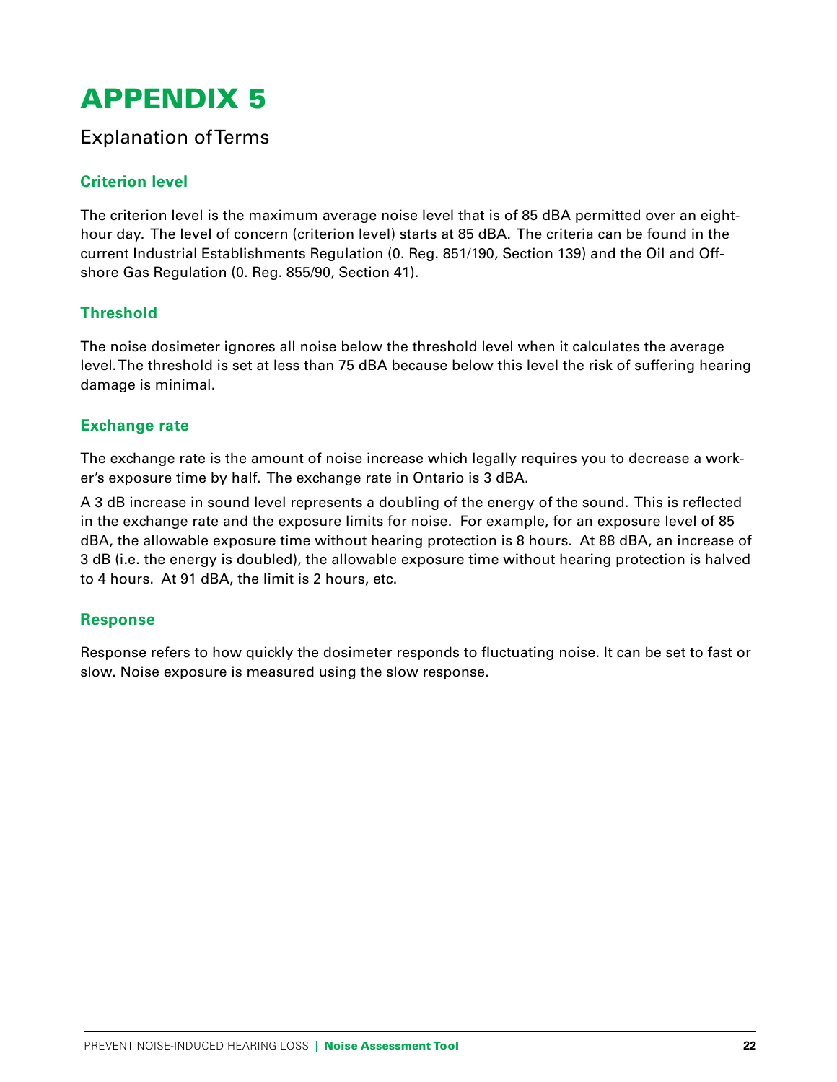## Explanation of Terms

### **Criterion level**

The criterion level is the maximum average noise level that is of 85 dBA permitted over an eighthour day. The level of concern (criterion level) starts at 85 dBA. The criteria can be found in the current Industrial Establishments Regulation (0. Reg. 851/190, Section 139) and the Oil and Offshore Gas Regulation (0. Reg. 855/90, Section 41).

### **Threshold**

The noise dosimeter ignores all noise below the threshold level when it calculates the average level. The threshold is set at less than 75 dBA because below this level the risk of suffering hearing damage is minimal.

#### **Exchange rate**

The exchange rate is the amount of noise increase which legally requires you to decrease a worker's exposure time by half. The exchange rate in Ontario is 3 dBA.

A 3 dB increase in sound level represents a doubling of the energy of the sound. This is reflected in the exchange rate and the exposure limits for noise. For example, for an exposure level of 85 dBA, the allowable exposure time without hearing protection is 8 hours. At 88 dBA, an increase of 3 dB (i.e. the energy is doubled), the allowable exposure time without hearing protection is halved to 4 hours. At 91 dBA, the limit is 2 hours, etc.

#### **Response**

Response refers to how quickly the dosimeter responds to fluctuating noise. It can be set to fast or slow. Noise exposure is measured using the slow response.